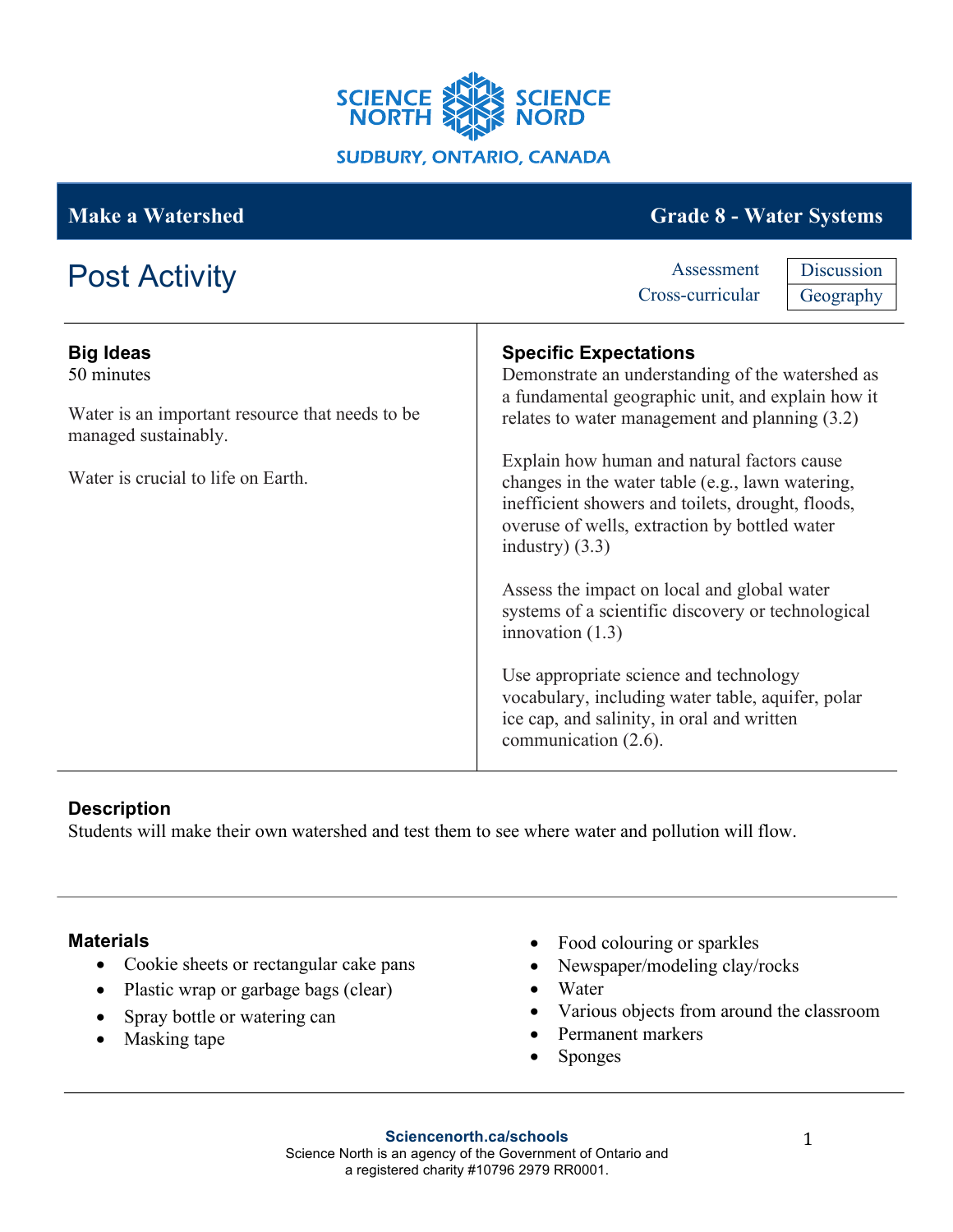

| <b>Make a Watershed</b>                                                                                                                         | <b>Grade 8 - Water Systems</b>                                                                                                                                                                                                                                                                                                                                                                                                                                                                                                                                                                                                                                                                                        |
|-------------------------------------------------------------------------------------------------------------------------------------------------|-----------------------------------------------------------------------------------------------------------------------------------------------------------------------------------------------------------------------------------------------------------------------------------------------------------------------------------------------------------------------------------------------------------------------------------------------------------------------------------------------------------------------------------------------------------------------------------------------------------------------------------------------------------------------------------------------------------------------|
| <b>Post Activity</b>                                                                                                                            | Discussion<br>Assessment<br>Cross-curricular<br>Geography                                                                                                                                                                                                                                                                                                                                                                                                                                                                                                                                                                                                                                                             |
| <b>Big Ideas</b><br>50 minutes<br>Water is an important resource that needs to be<br>managed sustainably.<br>Water is crucial to life on Earth. | <b>Specific Expectations</b><br>Demonstrate an understanding of the watershed as<br>a fundamental geographic unit, and explain how it<br>relates to water management and planning (3.2)<br>Explain how human and natural factors cause<br>changes in the water table (e.g., lawn watering,<br>inefficient showers and toilets, drought, floods,<br>overuse of wells, extraction by bottled water<br>industry $)(3.3)$<br>Assess the impact on local and global water<br>systems of a scientific discovery or technological<br>innovation $(1.3)$<br>Use appropriate science and technology<br>vocabulary, including water table, aquifer, polar<br>ice cap, and salinity, in oral and written<br>communication (2.6). |

# **Description**

Students will make their own watershed and test them to see where water and pollution will flow.

## **Materials**

- Cookie sheets or rectangular cake pans
- Plastic wrap or garbage bags (clear)
- Spray bottle or watering can
- Masking tape
- Food colouring or sparkles
- Newspaper/modeling clay/rocks
- Water
- Various objects from around the classroom
- Permanent markers
- Sponges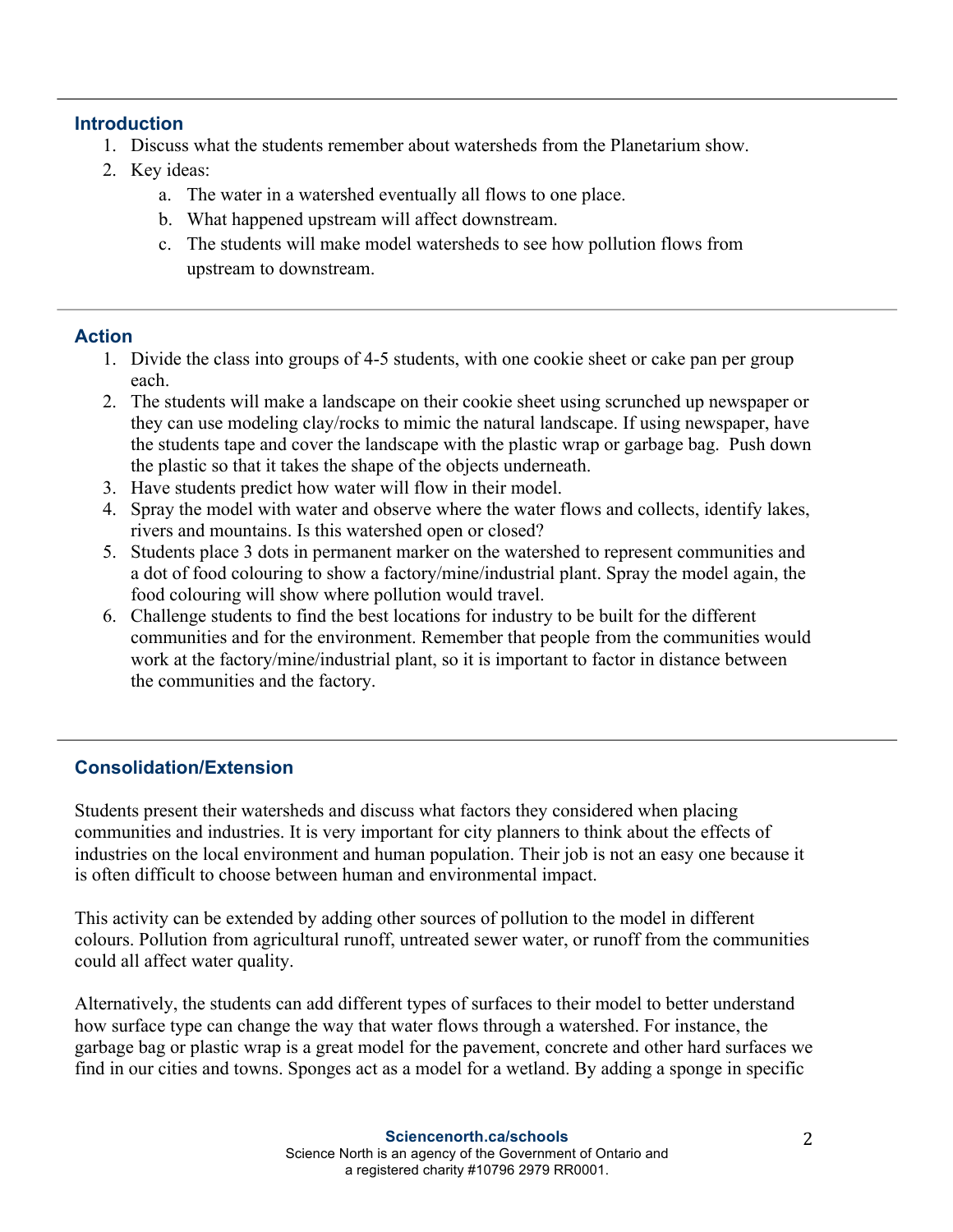## **Introduction**

- 1. Discuss what the students remember about watersheds from the Planetarium show.
- 2. Key ideas:
	- a. The water in a watershed eventually all flows to one place.
	- b. What happened upstream will affect downstream.
	- c. The students will make model watersheds to see how pollution flows from upstream to downstream.

## **Action**

- 1. Divide the class into groups of 4-5 students, with one cookie sheet or cake pan per group each.
- 2. The students will make a landscape on their cookie sheet using scrunched up newspaper or they can use modeling clay/rocks to mimic the natural landscape. If using newspaper, have the students tape and cover the landscape with the plastic wrap or garbage bag. Push down the plastic so that it takes the shape of the objects underneath.
- 3. Have students predict how water will flow in their model.
- 4. Spray the model with water and observe where the water flows and collects, identify lakes, rivers and mountains. Is this watershed open or closed?
- 5. Students place 3 dots in permanent marker on the watershed to represent communities and a dot of food colouring to show a factory/mine/industrial plant. Spray the model again, the food colouring will show where pollution would travel.
- 6. Challenge students to find the best locations for industry to be built for the different communities and for the environment. Remember that people from the communities would work at the factory/mine/industrial plant, so it is important to factor in distance between the communities and the factory.

# **Consolidation/Extension**

Students present their watersheds and discuss what factors they considered when placing communities and industries. It is very important for city planners to think about the effects of industries on the local environment and human population. Their job is not an easy one because it is often difficult to choose between human and environmental impact.

This activity can be extended by adding other sources of pollution to the model in different colours. Pollution from agricultural runoff, untreated sewer water, or runoff from the communities could all affect water quality.

Alternatively, the students can add different types of surfaces to their model to better understand how surface type can change the way that water flows through a watershed. For instance, the garbage bag or plastic wrap is a great model for the pavement, concrete and other hard surfaces we find in our cities and towns. Sponges act as a model for a wetland. By adding a sponge in specific